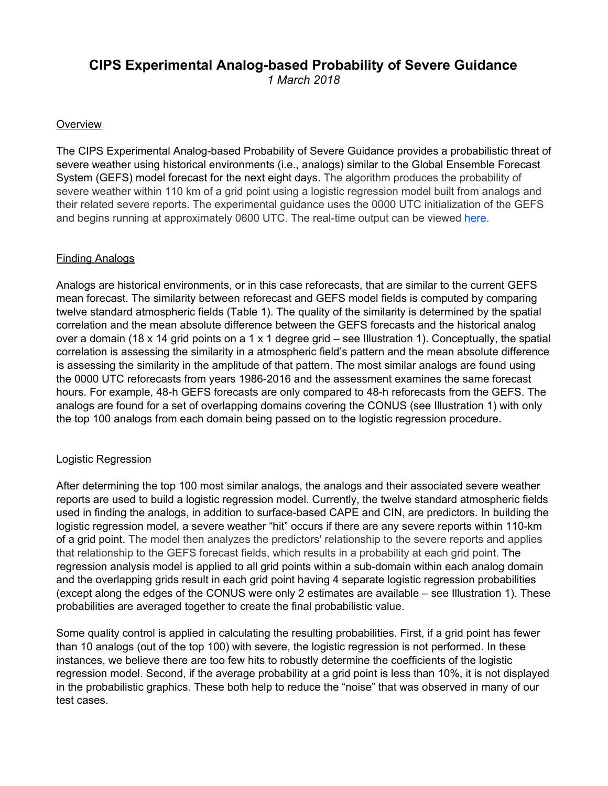# **CIPS Experimental Analog-based Probability of Severe Guidance**

*1 March 2018*

## **Overview**

The CIPS Experimental Analog-based Probability of Severe Guidance provides a probabilistic threat of severe weather using historical environments (i.e., analogs) similar to the Global Ensemble Forecast System (GEFS) model forecast for the next eight days. The algorithm produces the probability of severe weather within 110 km of a grid point using a logistic regression model built from analogs and their related severe reports. The experimental guidance uses the 0000 UTC initialization of the GEFS and begins running at approximately 0600 UTC. The real-time output can be viewed [here.](http://www.eas.slu.edu/CIPS/SVRprob/SVRprob.php)

# Finding Analogs

Analogs are historical environments, or in this case reforecasts, that are similar to the current GEFS mean forecast. The similarity between reforecast and GEFS model fields is computed by comparing twelve standard atmospheric fields (Table 1). The quality of the similarity is determined by the spatial correlation and the mean absolute difference between the GEFS forecasts and the historical analog over a domain (18 x 14 grid points on a 1 x 1 degree grid – see Illustration 1). Conceptually, the spatial correlation is assessing the similarity in a atmospheric field's pattern and the mean absolute difference is assessing the similarity in the amplitude of that pattern. The most similar analogs are found using the 0000 UTC reforecasts from years 1986-2016 and the assessment examines the same forecast hours. For example, 48-h GEFS forecasts are only compared to 48-h reforecasts from the GEFS. The analogs are found for a set of overlapping domains covering the CONUS (see Illustration 1) with only the top 100 analogs from each domain being passed on to the logistic regression procedure.

### Logistic Regression

After determining the top 100 most similar analogs, the analogs and their associated severe weather reports are used to build a logistic regression model. Currently, the twelve standard atmospheric fields used in finding the analogs, in addition to surface-based CAPE and CIN, are predictors. In building the logistic regression model, a severe weather "hit" occurs if there are any severe reports within 110-km of a grid point. The model then analyzes the predictors' relationship to the severe reports and applies that relationship to the GEFS forecast fields, which results in a probability at each grid point. The regression analysis model is applied to all grid points within a sub-domain within each analog domain and the overlapping grids result in each grid point having 4 separate logistic regression probabilities (except along the edges of the CONUS were only 2 estimates are available – see Illustration 1). These probabilities are averaged together to create the final probabilistic value.

Some quality control is applied in calculating the resulting probabilities. First, if a grid point has fewer than 10 analogs (out of the top 100) with severe, the logistic regression is not performed. In these instances, we believe there are too few hits to robustly determine the coefficients of the logistic regression model. Second, if the average probability at a grid point is less than 10%, it is not displayed in the probabilistic graphics. These both help to reduce the "noise" that was observed in many of our test cases.